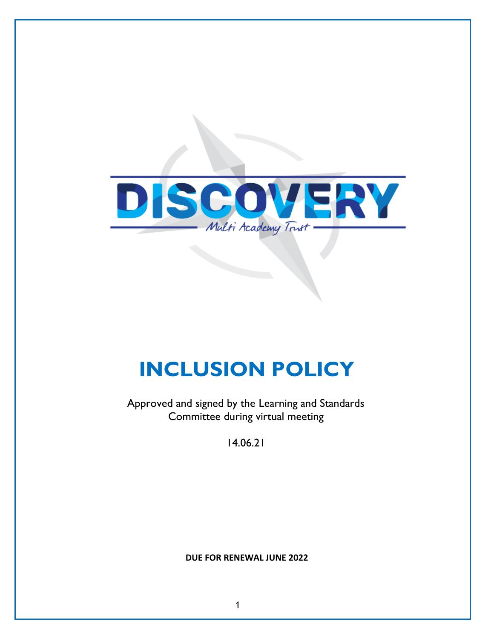

# **INCLUSION POLICY**

Approved and signed by the Learning and Standards Committee during virtual meeting

14.06.21

**DUE FOR RENEWAL JUNE 2022**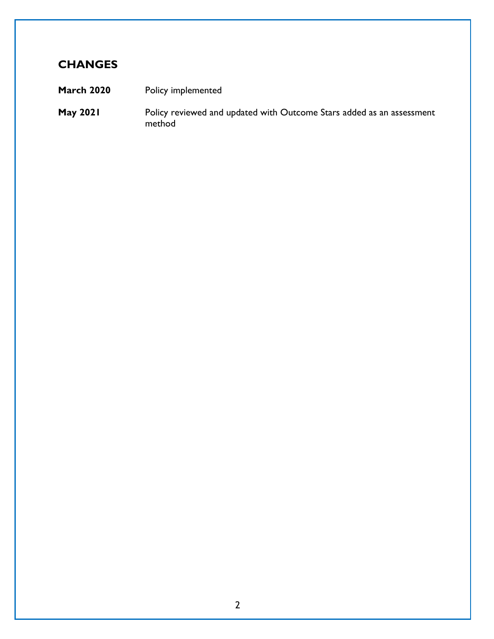## **CHANGES**

- **March 2020** Policy implemented
- **May 2021** Policy reviewed and updated with Outcome Stars added as an assessment method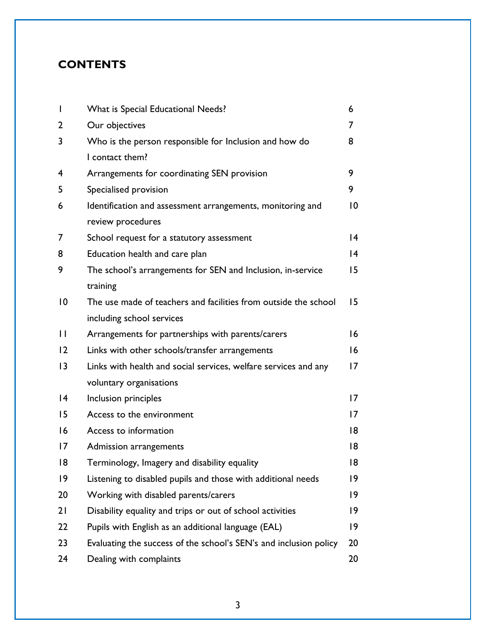## **CONTENTS**

| $\overline{1}$ | What is Special Educational Needs?                                | 6               |
|----------------|-------------------------------------------------------------------|-----------------|
| 2              | Our objectives                                                    | 7               |
| 3              | Who is the person responsible for Inclusion and how do            | 8               |
|                | I contact them?                                                   |                 |
| 4              | Arrangements for coordinating SEN provision                       | 9               |
| 5              | Specialised provision                                             | 9               |
| 6              | Identification and assessment arrangements, monitoring and        | $\overline{0}$  |
|                | review procedures                                                 |                 |
| 7              | School request for a statutory assessment                         | 4               |
| 8              | Education health and care plan                                    | 4               |
| 9              | The school's arrangements for SEN and Inclusion, in-service       | 15              |
|                | training                                                          |                 |
| 10             | The use made of teachers and facilities from outside the school   | 15              |
|                | including school services                                         |                 |
| $\mathsf{L}$   | Arrangements for partnerships with parents/carers                 | 16              |
| 12             | Links with other schools/transfer arrangements                    | 16              |
| 3              | Links with health and social services, welfare services and any   | 17              |
|                | voluntary organisations                                           |                 |
| 4              | Inclusion principles                                              | $\overline{17}$ |
| 15             | Access to the environment                                         | $\overline{17}$ |
| 16             | Access to information                                             | 8               |
| 17             | Admission arrangements                                            | 18              |
| 8              | Terminology, Imagery and disability equality                      | 18              |
| 9              | Listening to disabled pupils and those with additional needs      | 19              |
| 20             | Working with disabled parents/carers                              | 19              |
| 21             | Disability equality and trips or out of school activities         | 19              |
| 22             | Pupils with English as an additional language (EAL)               | 9               |
| 23             | Evaluating the success of the school's SEN's and inclusion policy | 20              |
| 24             | Dealing with complaints                                           | 20              |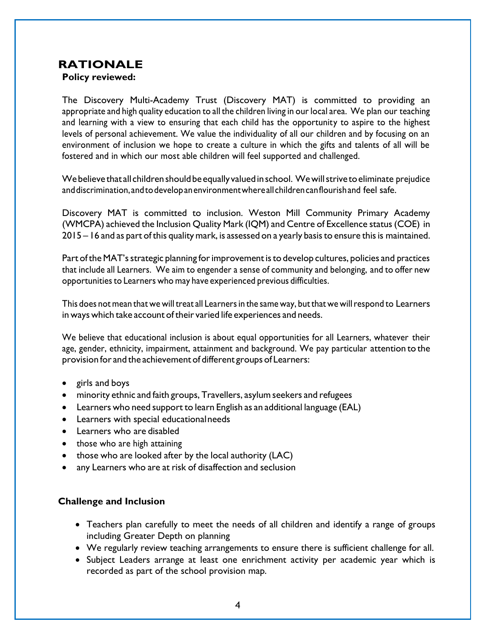## **RATIONALE**

**Policy reviewed:** 

The Discovery Multi-Academy Trust (Discovery MAT) is committed to providing an appropriate and high quality education to all the children living in our local area. We plan our teaching and learning with a view to ensuring that each child has the opportunity to aspire to the highest levels of personal achievement. We value the individuality of all our children and by focusing on an environment of inclusion we hope to create a culture in which the gifts and talents of all will be fostered and in which our most able children will feel supported and challenged.

We believe that all children should be equally valued in school. We will strive to eliminate prejudice anddiscrimination, andtodevelopanenvironmentwhereallchildrencanflourishand feel safe.

Discovery MAT is committed to inclusion. Weston Mill Community Primary Academy (WMCPA) achieved the Inclusion Quality Mark (IQM) and Centre of Excellence status(COE) in 2015 – 16 and as part of this quality mark, is assessed on a yearly basis to ensure this is maintained.

Part of the MAT's strategic planning for improvement is to develop cultures, policies and practices that include all Learners. We aim to engender a sense of community and belonging, and to offer new opportunities to Learners who may have experienced previous difficulties.

This does not mean that we will treat all Learners in the same way, but that we will respond to Learners in ways which take account of their varied life experiences and needs.

We believe that educational inclusion is about equal opportunities for all Learners, whatever their age, gender, ethnicity, impairment, attainment and background. We pay particular attention to the provision for and the achievement of different groups of Learners:

- girls and boys
- minority ethnic and faith groups, Travellers, asylum seekers and refugees
- Learners who need support to learn English as an additional language (EAL)
- Learners with special educationalneeds
- Learners who are disabled
- those who are high attaining
- those who are looked after by the local authority (LAC)
- any Learners who are at risk of disaffection and seclusion

#### **Challenge and Inclusion**

- Teachers plan carefully to meet the needs of all children and identify a range of groups including Greater Depth on planning
- We regularly review teaching arrangements to ensure there is sufficient challenge for all.
- Subject Leaders arrange at least one enrichment activity per academic year which is recorded as part of the school provision map.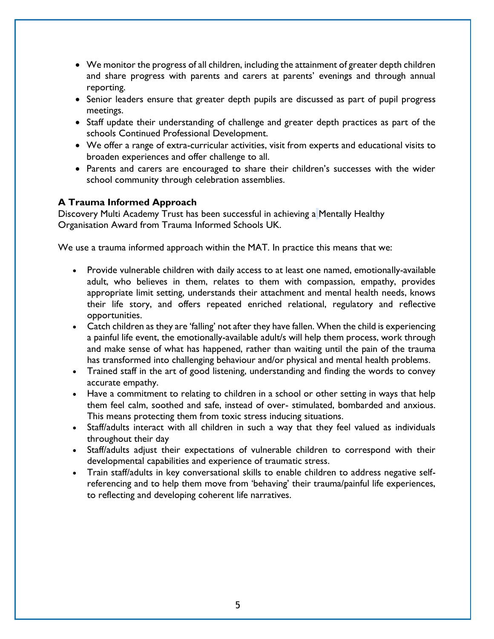- We monitor the progress of all children, including the attainment of greater depth children and share progress with parents and carers at parents' evenings and through annual reporting.
- Senior leaders ensure that greater depth pupils are discussed as part of pupil progress meetings.
- Staff update their understanding of challenge and greater depth practices as part of the schools Continued Professional Development.
- We offer a range of extra-curricular activities, visit from experts and educational visits to broaden experiences and offer challenge to all.
- Parents and carers are encouraged to share their children's successes with the wider school community through celebration assemblies.

#### **A Trauma Informed Approach**

Discovery Multi Academy Trust has been successful in achieving a Mentally Healthy Organisation Award from Trauma Informed Schools UK.

We use a trauma informed approach within the MAT. In practice this means that we:

- Provide vulnerable children with daily access to at least one named, emotionally-available adult, who believes in them, relates to them with compassion, empathy, provides appropriate limit setting, understands their attachment and mental health needs, knows their life story, and offers repeated enriched relational, regulatory and reflective opportunities.
- Catch children as they are 'falling' not after they have fallen. When the child is experiencing a painful life event, the emotionally-available adult/s will help them process, work through and make sense of what has happened, rather than waiting until the pain of the trauma has transformed into challenging behaviour and/or physical and mental health problems.
- Trained staff in the art of good listening, understanding and finding the words to convey accurate empathy.
- Have a commitment to relating to children in a school or other setting in ways that help them feel calm, soothed and safe, instead of over- stimulated, bombarded and anxious. This means protecting them from toxic stress inducing situations.
- Staff/adults interact with all children in such a way that they feel valued as individuals throughout their day
- Staff/adults adjust their expectations of vulnerable children to correspond with their developmental capabilities and experience of traumatic stress.
- Train staff/adults in key conversational skills to enable children to address negative selfreferencing and to help them move from 'behaving' their trauma/painful life experiences, to reflecting and developing coherent life narratives.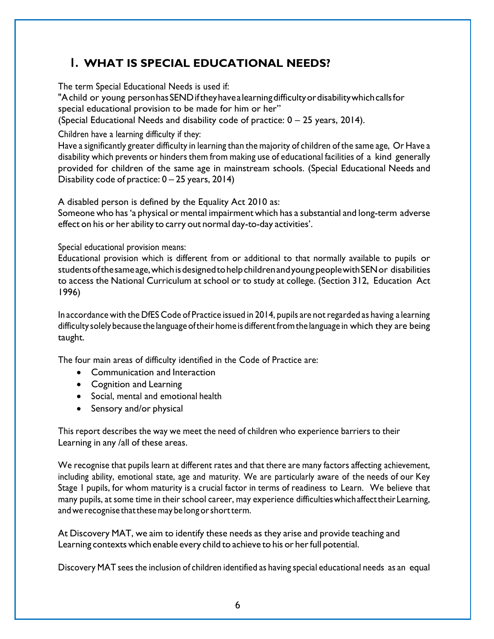## **1. WHAT IS SPECIAL EDUCATIONAL NEEDS?**

The term Special Educational Needs is used if:

"Achild or young personhasSENDiftheyhavealearningdifficultyordisabilitywhichcallsfor special educational provision to be made for him or her"

(Special Educational Needs and disability code of practice:  $0 - 25$  years, 2014).

Children have a learning difficulty if they:

Have a significantly greater difficulty in learning than the majority of children of the same age, Or Have a disability which prevents or hinders them from making use of educational facilities of a kind generally provided for children of the same age in mainstream schools. (Special Educational Needs and Disability code of practice: 0 – 25 years, 2014)

A disabled person is defined by the Equality Act 2010 as:

Someone who has'a physical or mental impairment which has a substantial and long-term adverse effect on his or her ability to carry out normal day-to-day activities'.

Special educational provision means:

Educational provision which is different from or additional to that normally available to pupils or students of the same age, which is designed to help children and young people with SEN or disabilities to access the National Curriculum at school or to study at college. (Section 312, Education Act 1996)

In accordance with the DfES Code of Practice issued in 2014, pupils are not regarded as having a learning difficulty solely because the language of their home is different from the language in which they are being taught.

The four main areas of difficulty identified in the Code of Practice are:

- Communication and Interaction
- Cognition and Learning
- Social, mental and emotional health
- Sensory and/or physical

This report describes the way we meet the need of children who experience barriers to their Learning in any /all of these areas.

We recognise that pupils learn at different rates and that there are many factors affecting achievement, including ability, emotional state, age and maturity. We are particularly aware of the needs of our Key Stage 1 pupils, for whom maturity is a crucial factor in terms of readiness to Learn. We believe that many pupils, at some time in their school career, may experience difficultieswhichaffecttheir Learning, andwe recognise thatthesemay be longorshortterm.

At Discovery MAT, we aim to identify these needs as they arise and provide teaching and Learning contexts which enable every child to achieve to his or her full potential.

Discovery MAT sees the inclusion of children identified as having special educational needs as an equal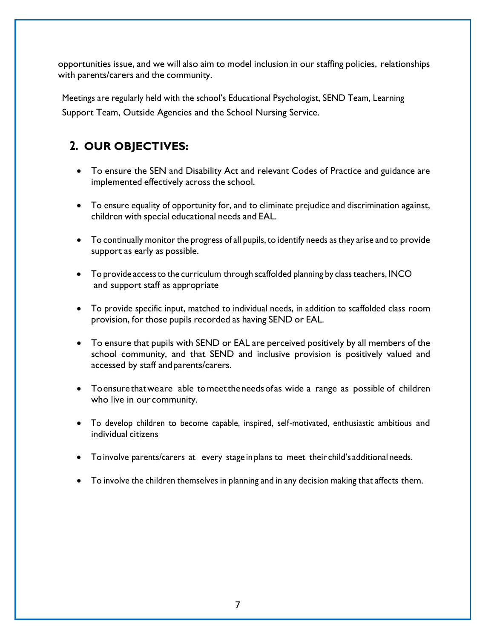opportunities issue, and we will also aim to model inclusion in our staffing policies, relationships with parents/carers and the community.

Meetings are regularly held with the school's Educational Psychologist, SEND Team, Learning Support Team, Outside Agencies and the School Nursing Service.

# **2. OUR OBJECTIVES:**

- To ensure the SEN and Disability Act and relevant Codes of Practice and guidance are implemented effectively across the school.
- To ensure equality of opportunity for, and to eliminate prejudice and discrimination against, children with special educational needs and EAL.
- To continually monitor the progress of all pupils, to identify needs as they arise and to provide support as early as possible.
- To provide access to the curriculum through scaffolded planning by class teachers, INCO and support staff as appropriate
- To provide specific input, matched to individual needs, in addition to scaffolded class room provision, for those pupils recorded as having SEND or EAL.
- To ensure that pupils with SEND or EAL are perceived positively by all members of the school community, and that SEND and inclusive provision is positively valued and accessed by staff andparents/carers.
- Toensurethatweare able tomeettheneedsofas wide a range as possible of children who live in our community.
- To develop children to become capable, inspired, self-motivated, enthusiastic ambitious and individual citizens
- To involve parents/carers at every stage in plans to meet their child's additional needs.
- To involve the children themselves in planning and in any decision making that affects them.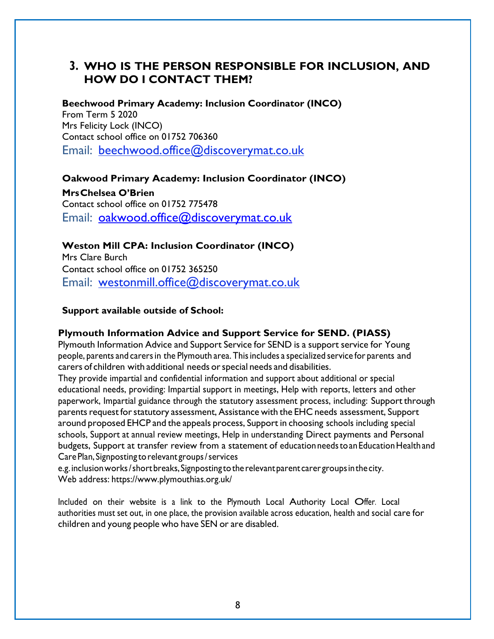#### **3. WHO IS THE PERSON RESPONSIBLE FOR INCLUSION, AND HOW DO I CONTACT THEM?**

**Beechwood Primary Academy: Inclusion Coordinator (INCO)** From Term 5 2020 Mrs Felicity Lock (INCO) Contact school office on 01752 706360 Email: beechwood.offic[e@discoverymat.co.uk](mailto:j.daw@discoverymat.co.uk)

**Oakwood Primary Academy: Inclusion Coordinator (INCO) MrsChelsea O'Brien**  Contact school office on 01752 775478 Email: [oakwood.office@discoverymat.co.uk](mailto:oakwood.office@discoverymat.co.uk)

**Weston Mill CPA: Inclusion Coordinator (INCO)** Mrs Clare Burch Contact school office on 01752 365250 Email: [westonmill.office@discoverymat.co.uk](mailto:westonmill.office@discoverymat.co.uk)

#### **Support available outside of School:**

#### **Plymouth Information Advice and Support Service for SEND. (PIASS)**

Plymouth Information Advice and Support Service for SEND is a support service for Young people, parents and carersin the Plymouth area. Thisincludes a specialized service for parents and carers of children with additional needs orspecial needs and disabilities.

They provide impartial and confidential information and support about additional or special educational needs, providing: Impartial support in meetings, Help with reports, letters and other paperwork, Impartial guidance through the statutory assessment process, including: Support through parents request for statutory assessment, Assistance with the EHC needs assessment, Support around proposed EHCP and the appeals process, Support in choosing schools including special schools, Support at annual review meetings, Help in understanding Direct payments and Personal budgets, Support at transfer review from a statement of education needs to an Education Health and CarePlan, Signposting torelevant groups/services

e.g.inclusionworks/shortbreaks,Signposting totherelevantparent carer groupsinthecity. Web address: http[s://www.plymouth](http://www.plymouthias.org.uk/)i[as.org.uk/](http://www.plymouthias.org.uk/)

Included on their website is <sup>a</sup> link to the Plymouth Local Authority Local Offer. Local authorities must set out, in one place, the provision available across education, health and social care for children and young people who have SEN or are disabled.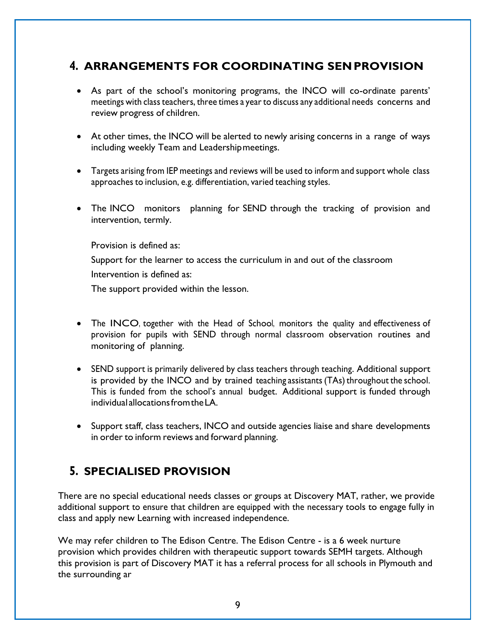#### **4. ARRANGEMENTS FOR COORDINATING SENPROVISION**

- As part of the school's monitoring programs, the INCO will co-ordinate parents' meetings with class teachers, three times a year to discuss any additional needs concerns and review progress of children.
- At other times, the INCO will be alerted to newly arising concerns in a range of ways including weekly Team and Leadershipmeetings.
- Targets arising from IEP meetings and reviews will be used to inform and support whole class approaches to inclusion, e.g. differentiation, varied teaching styles.
- The INCO monitors planning for SEND through the tracking of provision and intervention, termly.

Provision is defined as:

Support for the learner to access the curriculum in and out of the classroom

Intervention is defined as:

The support provided within the lesson.

- The INCO, together with the Head of School, monitors the quality and effectiveness of provision for pupils with SEND through normal classroom observation routines and monitoring of planning.
- SEND support is primarily delivered by class teachers through teaching. Additional support is provided by the INCO and by trained teaching assistants (TAs) throughout the school. This is funded from the school's annual budget. Additional support is funded through individual allocationsfromtheLA.
- Support staff, class teachers, INCO and outside agencies liaise and share developments in order to inform reviews and forward planning.

## **5. SPECIALISED PROVISION**

There are no special educational needs classes or groups at Discovery MAT, rather, we provide additional support to ensure that children are equipped with the necessary tools to engage fully in class and apply new Learning with increased independence.

We may refer children to The Edison Centre. The Edison Centre - is a 6 week nurture provision which provides children with therapeutic support towards SEMH targets. Although this provision is part of Discovery MAT it has a referral process for all schools in Plymouth and the surrounding ar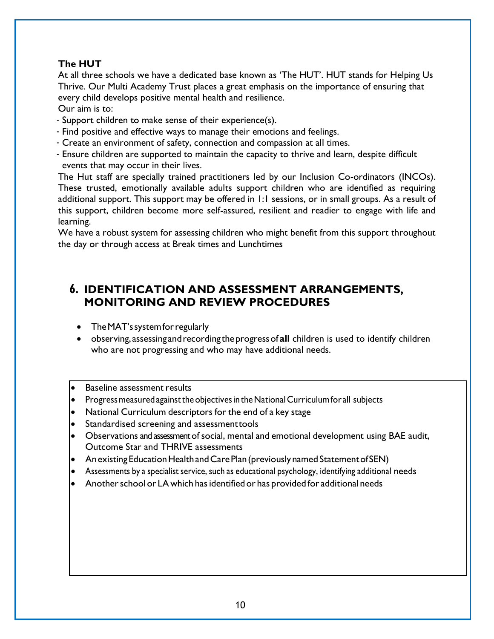#### **The HUT**

At all three schools we have a dedicated base known as 'The HUT'. HUT stands for Helping Us Thrive. Our Multi Academy Trust places a great emphasis on the importance of ensuring that every child develops positive mental health and resilience. Our aim is to:

- 
- Support children to make sense of their experience(s).
- Find positive and effective ways to manage their emotions and feelings.
- Create an environment of safety, connection and compassion at all times.
- Ensure children are supported to maintain the capacity to thrive and learn, despite difficult events that may occur in their lives.

The Hut staff are specially trained practitioners led by our Inclusion Co-ordinators (INCOs). These trusted, emotionally available adults support children who are identified as requiring additional support. This support may be offered in 1:1 sessions, or in small groups. As a result of this support, children become more self-assured, resilient and readier to engage with life and learning.

We have a robust system for assessing children who might benefit from this support throughout the day or through access at Break times and Lunchtimes

#### **6. IDENTIFICATION AND ASSESSMENT ARRANGEMENTS, MONITORING AND REVIEW PROCEDURES**

- The MAT's system for regularly
- observing,assessing andrecordingtheprogressof**all** children is used to identify children who are not progressing and who may have additional needs.
- Baseline assessment results
- Progress measured against the objectives in the National Curriculum for all subjects
- National Curriculum descriptors for the end of a key stage
- Standardised screening and assessmenttools
- Observations and assessment of social, mental and emotional development using BAE audit, Outcome Star and THRIVE assessments
- Anexisting Education Health and Care Plan (previously named Statement of SEN)
- Assessments by a specialist service, such as educational psychology, identifying additional needs
- Another school or LA which has identified or has provided for additional needs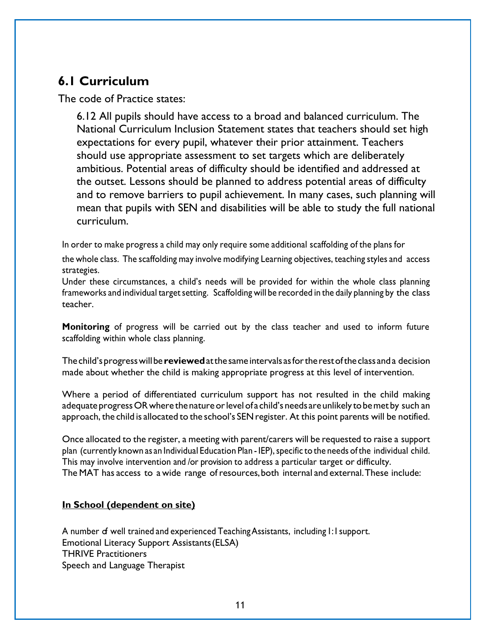# **6.1 Curriculum**

The code of Practice states:

6.12 All pupils should have access to a broad and balanced curriculum. The National Curriculum Inclusion Statement states that teachers should set high expectations for every pupil, whatever their prior attainment. Teachers should use appropriate assessment to set targets which are deliberately ambitious. Potential areas of difficulty should be identified and addressed at the outset. Lessons should be planned to address potential areas of difficulty and to remove barriers to pupil achievement. In many cases, such planning will mean that pupils with SEN and disabilities will be able to study the full national curriculum.

In order to make progress a child may only require some additional scaffolding of the plans for

the whole class. The scaffolding may involve modifying Learning objectives, teaching styles and access strategies.

Under these circumstances, a child's needs will be provided for within the whole class planning frameworks and individual target setting. Scaffolding will be recorded in the daily planning by the class teacher.

**Monitoring** of progress will be carried out by the class teacher and used to inform future scaffolding within whole class planning.

Thechild'sprogresswillbe **reviewed**atthesame intervals asfortherestoftheclass anda decision made about whether the child is making appropriate progress at this level of intervention.

Where a period of differentiated curriculum support has not resulted in the child making adequate progress OR where the nature or level of a child's needs are unlikely to be met by such an approach, the child is allocated to the school's SEN register. At this point parents will be notified.

Once allocated to the register, a meeting with parent/carers will be requested to raise a support plan (currently known as an Individual Education Plan - IEP), specific to the needs of the individual child. This may involve intervention and /or provision to address a particular target or difficulty. The MAT has access to a wide range of resources,both internal and external.These include:

#### **In School (dependent on site)**

A number of well trained and experienced Teaching Assistants, including 1:1 support. Emotional Literacy Support Assistants(ELSA) THRIVE Practitioners Speech and Language Therapist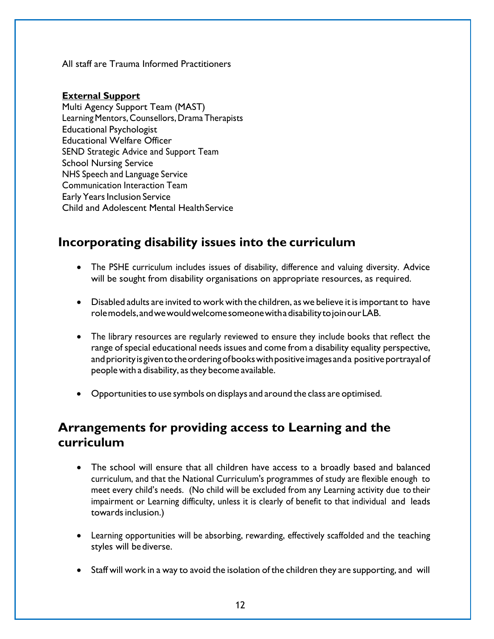All staff are Trauma Informed Practitioners

#### **External Support**

Multi Agency Support Team (MAST) Learning Mentors, Counsellors, Drama Therapists Educational Psychologist Educational Welfare Officer SEND Strategic Advice and Support Team School Nursing Service NHS Speech and Language Service Communication Interaction Team Early Years Inclusion Service Child and Adolescent Mental HealthService

## **Incorporating disability issues into the curriculum**

- The PSHE curriculum includes issues of disability, difference and valuing diversity. Advice will be sought from disability organisations on appropriate resources, as required.
- Disabled adults are invited to work with the children, as we believe it is important to have rolemodels,andwewouldwelcomesomeonewithadisabilitytojoinourLAB.
- The library resources are regularly reviewed to ensure they include books that reflect the range of special educational needs issues and come from a disability equality perspective, and priority is given to the ordering of books with positive images and a positive portrayal of people with a disability, asthey become available.
- Opportunitiesto use symbols on displays and around the class are optimised.

## **Arrangements for providing access to Learning and the curriculum**

- The school will ensure that all children have access to a broadly based and balanced curriculum, and that the National Curriculum's programmes of study are flexible enough to meet every child's needs. (No child will be excluded from any Learning activity due to their impairment or Learning difficulty, unless it is clearly of benefit to that individual and leads towards inclusion.)
- Learning opportunities will be absorbing, rewarding, effectively scaffolded and the teaching styles will bediverse.
- Staff will work in a way to avoid the isolation of the children they are supporting, and will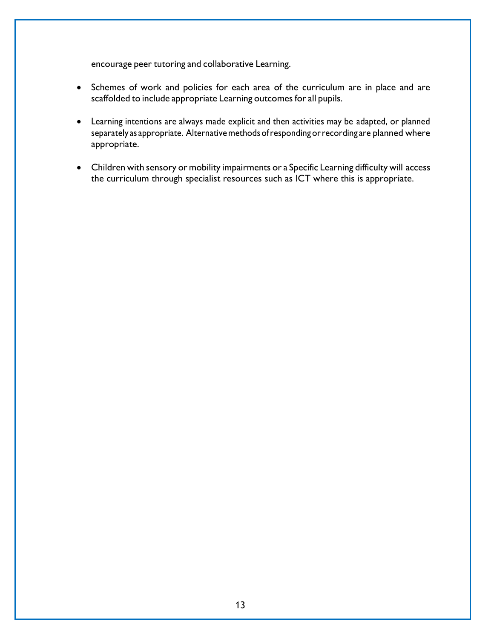encourage peer tutoring and collaborative Learning.

- Schemes of work and policies for each area of the curriculum are in place and are scaffolded to include appropriate Learning outcomes for all pupils.
- Learning intentions are always made explicit and then activities may be adapted, or planned separately as appropriate. Alternative methods of responding or recording are planned where appropriate.
- Children with sensory or mobility impairments or a Specific Learning difficulty will access the curriculum through specialist resources such as ICT where this is appropriate.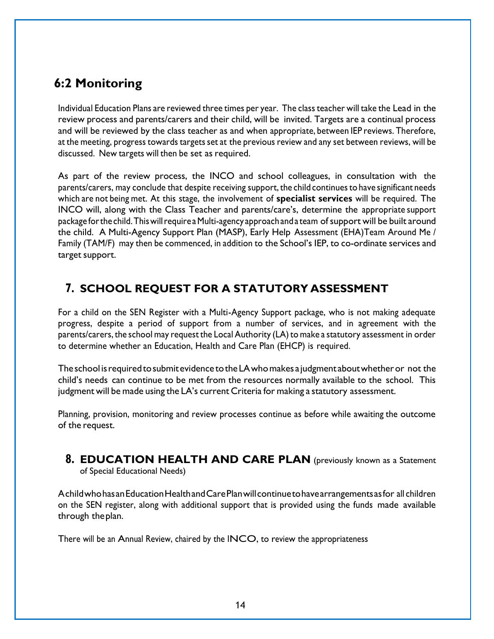# **6:2 Monitoring**

Individual Education Plans are reviewed three times per year. The class teacher will take the Lead in the review process and parents/carers and their child, will be invited. Targets are a continual process and will be reviewed by the class teacher as and when appropriate, between IEP reviews. Therefore, at the meeting, progress towards targets set at the previous review and any set between reviews, will be discussed. New targets will then be set as required.

As part of the review process, the INCO and school colleagues, in consultation with the parents/carers, may conclude that despite receiving support, the child continues to have significant needs which are not being met. At this stage, the involvement of **specialist services** will be required. The INCO will, along with the Class Teacher and parents/care's, determine the appropriate support package forthe child.ThiswillrequireaMulti-agency approachand a team ofsupport will be built around the child. A Multi-Agency Support Plan (MASP), Early Help Assessment (EHA)Team Around Me / Family (TAM/F) may then be commenced, in addition to the School's IEP, to co-ordinate services and target support.

## **7. SCHOOL REQUEST FOR A STATUTORY ASSESSMENT**

For a child on the SEN Register with a Multi-Agency Support package, who is not making adequate progress, despite a period of support from a number of services, and in agreement with the parents/carers, the school may request the Local Authority (LA) to make a statutory assessment in order to determine whether an Education, Health and Care Plan (EHCP) is required.

The school is required to submit evidence to the LA who makes a judgment about whether or not the child's needs can continue to be met from the resources normally available to the school. This judgment will be made using the LA's current Criteria for making a statutory assessment.

Planning, provision, monitoring and review processes continue as before while awaiting the outcome of the request.

**8. EDUCATION HEALTH AND CARE PLAN** (previously known as a Statement of Special Educational Needs)

AchildwhohasanEducationHealthandCarePlanwillcontinuetohavearrangementsasfor all children on the SEN register, along with additional support that is provided using the funds made available through theplan.

There will be an Annual Review, chaired by the INCO, to review the appropriateness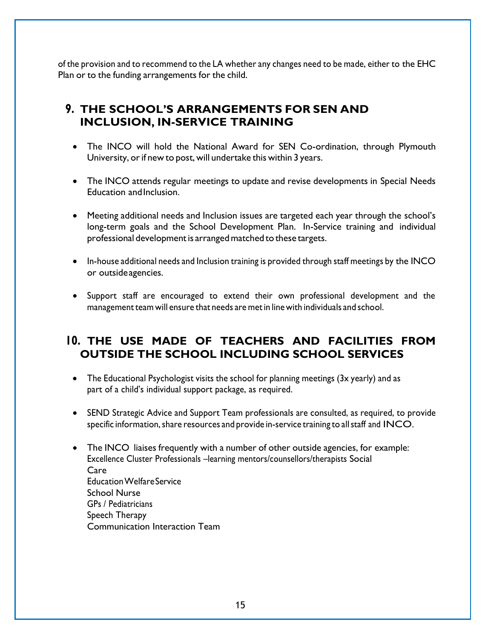of the provision and to recommend to the LA whether any changes need to be made, either to the EHC Plan or to the funding arrangements for the child.

#### **9. THE SCHOOL'S ARRANGEMENTS FOR SEN AND INCLUSION, IN-SERVICE TRAINING**

- The INCO will hold the National Award for SEN Co-ordination, through Plymouth University, or if new to post, will undertake this within 3 years.
- The INCO attends regular meetings to update and revise developments in Special Needs Education andInclusion.
- Meeting additional needs and Inclusion issues are targeted each year through the school's long-term goals and the School Development Plan. In-Service training and individual professional developmentis arrangedmatched to these targets.
- In-house additional needs and Inclusion training is provided through staff meetings by the INCO or outsideagencies.
- Support staff are encouraged to extend their own professional development and the management team will ensure that needs are metin line with individuals and school.

#### **10. THE USE MADE OF TEACHERS AND FACILITIES FROM OUTSIDE THE SCHOOL INCLUDING SCHOOL SERVICES**

- The Educational Psychologist visits the school for planning meetings (3x yearly) and as part of a child's individual support package, as required.
- SEND Strategic Advice and Support Team professionals are consulted, as required, to provide specific information, share resources and provide in-service training to all staff and INCO.
- The INCO liaises frequently with a number of other outside agencies, for example: Excellence Cluster Professionals –learning mentors/counsellors/therapists Social Care EducationWelfareService School Nurse GPs / Pediatricians Speech Therapy Communication Interaction Team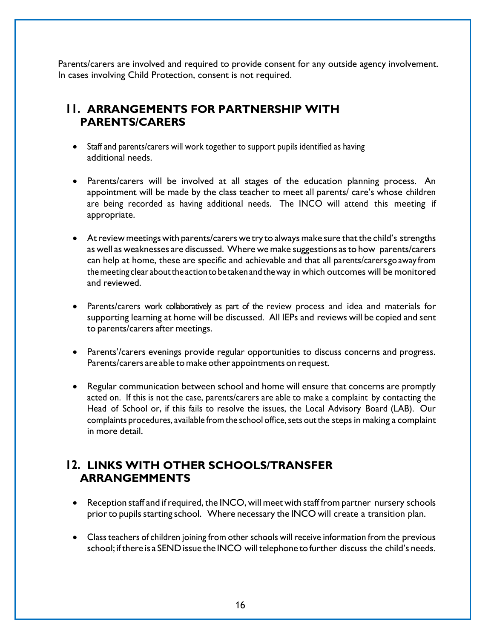Parents/carers are involved and required to provide consent for any outside agency involvement. In cases involving Child Protection, consent is not required.

#### **11. ARRANGEMENTS FOR PARTNERSHIP WITH PARENTS/CARERS**

- Staff and parents/carers will work together to support pupils identified as having additional needs.
- Parents/carers will be involved at all stages of the education planning process. An appointment will be made by the class teacher to meet all parents/ care's whose children are being recorded as having additional needs. The INCO will attend this meeting if appropriate.
- At review meetings with parents/carers we try to always make sure that the child's strengths as well as weaknesses are discussed. Where we make suggestions asto how parents/carers can help at home, these are specific and achievable and that all parents/carers go away from the meeting clear about the action to be taken and the way in which outcomes will be monitored and reviewed.
- Parents/carers work collaboratively as part of the review process and idea and materials for supporting learning at home will be discussed. All IEPs and reviews will be copied and sent to parents/carers after meetings.
- Parents'/carers evenings provide regular opportunities to discuss concerns and progress. Parents/carers are able to make other appointments on request.
- Regular communication between school and home will ensure that concerns are promptly acted on. If this is not the case, parents/carers are able to make a complaint by contacting the Head of School or, if this fails to resolve the issues, the Local Advisory Board (LAB). Our complaints procedures, available from the school office, sets out the steps in making a complaint in more detail.

#### **12. LINKS WITH OTHER SCHOOLS/TRANSFER ARRANGEMMENTS**

- Reception staff and if required, the INCO, will meet with staff from partner nursery schools prior to pupils starting school. Where necessary the INCO will create a transition plan.
- Class teachers of children joining from other schools will receive information from the previous school; if there is a SEND issue the INCO will telephone to further discuss the child's needs.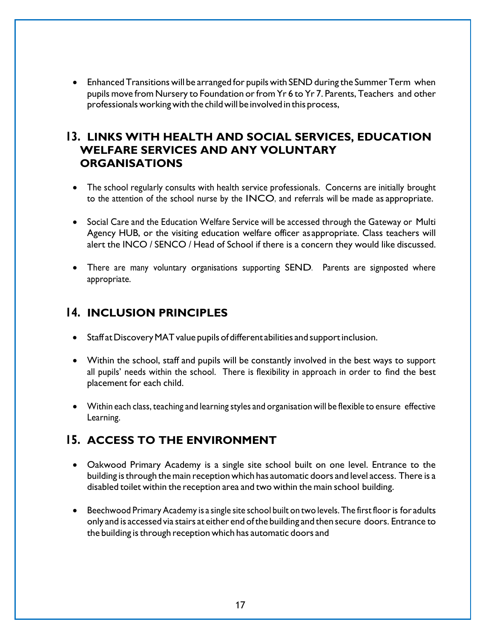• Enhanced Transitions will be arranged for pupils with SEND during the Summer Term when pupils move from Nursery to Foundation or from Yr 6 to Yr 7. Parents, Teachers and other professionals working with the child will be involved in this process,

#### **13. LINKS WITH HEALTH AND SOCIAL SERVICES, EDUCATION WELFARE SERVICES AND ANY VOLUNTARY ORGANISATIONS**

- The school regularly consults with health service professionals. Concerns are initially brought to the attention of the school nurse by the INCO, and referrals will be made as appropriate.
- Social Care and the Education Welfare Service will be accessed through the Gateway or Multi Agency HUB, or the visiting education welfare officer asappropriate. Class teachers will alert the INCO / SENCO / Head of School if there is a concern they would like discussed.
- There are many voluntary organisations supporting SEND. Parents are signposted where appropriate.

#### **14. INCLUSION PRINCIPLES**

- Staff at Discovery MAT value pupils of different abilities and support inclusion.
- Within the school, staff and pupils will be constantly involved in the best ways to support all pupils' needs within the school. There is flexibility in approach in order to find the best placement for each child.
- Within each class, teaching and learning styles and organisation will be flexible to ensure effective Learning.

#### **15. ACCESS TO THE ENVIRONMENT**

- Oakwood Primary Academy is a single site school built on one level. Entrance to the building is through the main reception which has automatic doors and level access. There is a disabled toilet within the reception area and two within the main school building.
- Beechwood Primary Academy is a single site school built on two levels. The first floor is for adults only and is accessed via stairs at either end ofthe building and then secure doors. Entrance to the building is through reception which has automatic doors and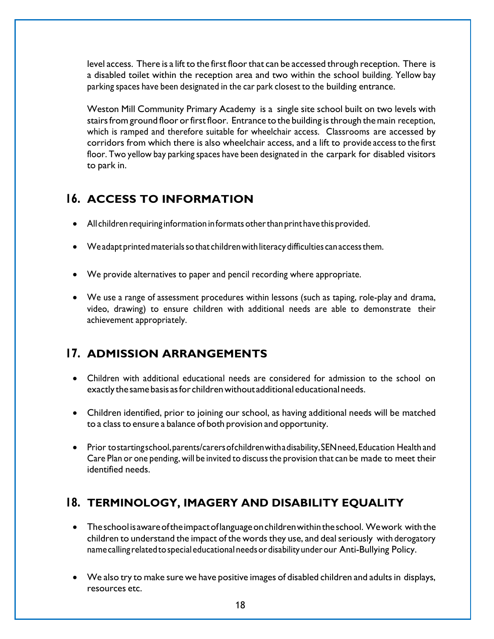level access. There is a lift to the first floorthat can be accessed through reception. There is a disabled toilet within the reception area and two within the school building. Yellow bay parking spaces have been designated in the car park closest to the building entrance.

Weston Mill Community Primary Academy is a single site school built on two levels with stairs from ground floor or first floor. Entrance to the building is through the main reception, which is ramped and therefore suitable for wheelchair access. Classrooms are accessed by corridors from which there is also wheelchair access, and a lift to provide accessto the first floor. Two yellow bay parking spaces have been designated in the carpark for disabled visitors to park in.

## **16. ACCESS TO INFORMATION**

- All children requiring information in formats other than print have this provided.
- Weadapt printed materials so that children with literacy difficulties can access them.
- We provide alternatives to paper and pencil recording where appropriate.
- We use a range of assessment procedures within lessons (such as taping, role-play and drama, video, drawing) to ensure children with additional needs are able to demonstrate their achievement appropriately.

# **17. ADMISSION ARRANGEMENTS**

- Children with additional educational needs are considered for admission to the school on exactly the same basis as for children without additional educational needs.
- Children identified, prior to joining our school, as having additional needs will be matched to a class to ensure a balance of both provision and opportunity.
- Prior tostartingschool, parents/carers of children with a disability, SEN need, Education Health and Care Plan or one pending, will be invited to discussthe provision that can be made to meet their identified needs.

# **18. TERMINOLOGY, IMAGERY AND DISABILITY EQUALITY**

- The school is aware of the impact of language on children within the school. We work with the children to understand the impact of the words they use, and deal seriously with derogatory namecalling relatedtospecialeducationalneedsordisabilityunderour Anti-Bullying Policy.
- We also try to make sure we have positive images of disabled children and adults in displays, resources etc.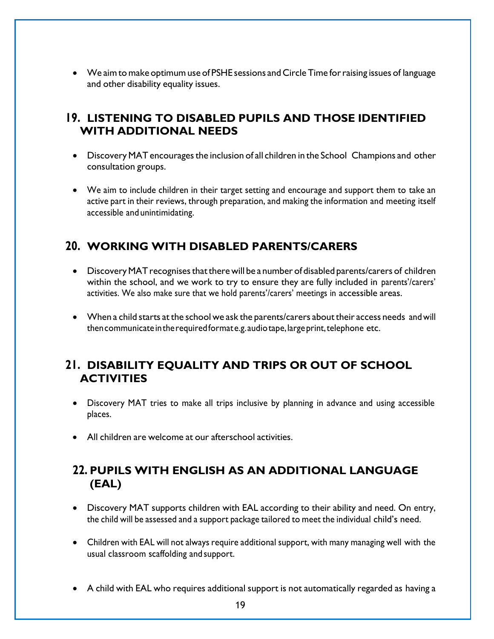• We aim to make optimum use of PSHE sessions and Circle Time for raising issues of language and other disability equality issues.

#### **19. LISTENING TO DISABLED PUPILS AND THOSE IDENTIFIED WITH ADDITIONAL NEEDS**

- Discovery MAT encourages the inclusion of all children in the School Champions and other consultation groups.
- We aim to include children in their target setting and encourage and support them to take an active part in their reviews, through preparation, and making the information and meeting itself accessible and unintimidating.

#### **20. WORKING WITH DISABLED PARENTS/CARERS**

- Discovery MAT recognises that there will be a number of disabled parents/carers of children within the school, and we work to try to ensure they are fully included in parents'/carers' activities. We also make sure that we hold parents'/carers' meetings in accessible areas.
- When a child starts at the school we ask the parents/carers about their access needs and will then communicate in the required formate.g. audio tape, large print, telephone etc.

## **21. DISABILITY EQUALITY AND TRIPS OR OUT OF SCHOOL ACTIVITIES**

- Discovery MAT tries to make all trips inclusive by planning in advance and using accessible places.
- All children are welcome at our afterschool activities.

## **22. PUPILS WITH ENGLISH AS AN ADDITIONAL LANGUAGE (EAL)**

- Discovery MAT supports children with EAL according to their ability and need. On entry, the child will be assessed and a support package tailored to meet the individual child's need.
- Children with EAL will not always require additional support, with many managing well with the usual classroom scaffolding and support.
- A child with EAL who requires additional support is not automatically regarded as having a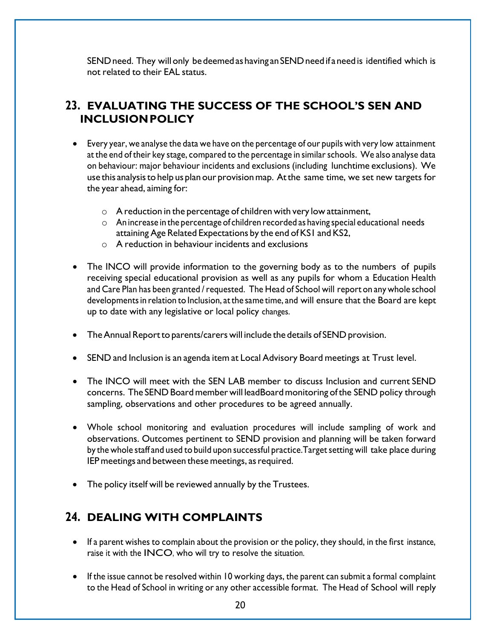SEND need. They will only be deemed as having an SEND need if a need is identified which is not related to their EAL status.

#### **23. EVALUATING THE SUCCESS OF THE SCHOOL'S SEN AND INCLUSIONPOLICY**

- Every year, we analyse the data we have on the percentage of our pupils with very low attainment at the end of their key stage, compared to the percentage in similarschools. We also analyse data on behaviour: major behaviour incidents and exclusions (including lunchtime exclusions). We use this analysis to help us plan our provision map. At the same time, we set new targets for the year ahead, aiming for:
	- $\circ$  A reduction in the percentage of children with very low attainment,
	- $\circ$  An increase in the percentage of children recorded as having special educational needs attaining Age Related Expectations by the end of KS1 and KS2,
	- o A reduction in behaviour incidents and exclusions
- The INCO will provide information to the governing body as to the numbers of pupils receiving special educational provision as well as any pupils for whom a Education Health and Care Plan has been granted /requested. The Head of School will report on any whole school developments in relation to Inclusion, at the same time, and will ensure that the Board are kept up to date with any legislative or local policy changes.
- TheAnnual Reportto parents/carers will include the details of SEND provision.
- SEND and Inclusion is an agenda item at Local Advisory Board meetings at Trust level.
- The INCO will meet with the SEN LAB member to discuss Inclusion and current SEND concerns. The SEND Board member will leadBoard monitoring of the SEND policy through sampling, observations and other procedures to be agreed annually.
- Whole school monitoring and evaluation procedures will include sampling of work and observations. Outcomes pertinent to SEND provision and planning will be taken forward by the whole staff and used to build upon successful practice. Target setting will take place during IEP meetings and between these meetings, as required.
- The policy itself will be reviewed annually by the Trustees.

#### **24. DEALING WITH COMPLAINTS**

- If a parent wishes to complain about the provision or the policy, they should, in the first instance, raise it with the INCO, who will try to resolve the situation.
- If the issue cannot be resolved within 10 working days, the parent can submit a formal complaint to the Head of School in writing or any other accessible format. The Head of School will reply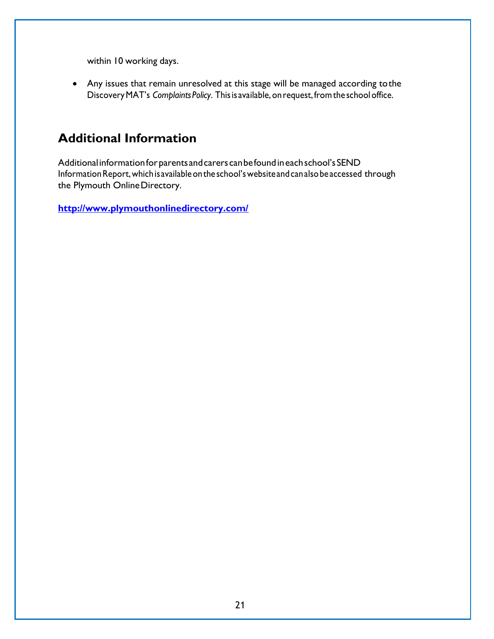within 10 working days.

• Any issues that remain unresolved at this stage will be managed according tothe DiscoveryMAT's *Complaints Policy*. Thisis available, on request,fromthe schooloffice.

# **Additional Information**

Additionalinformationforparentsandcarerscanbefoundineachschool'sSEND InformationReport,whichisavailableontheschool'swebsiteandcanalsobeaccessed through the Plymouth OnlineDirectory.

**<http://www.plymouthonlinedirectory.com/>**